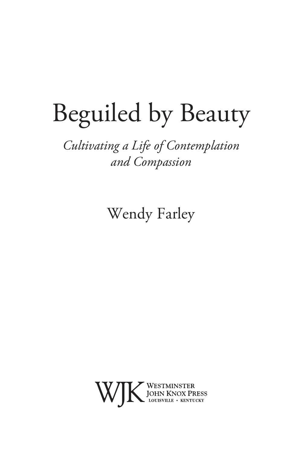# Beguiled by Beauty

*Cultivating a Life of Contemplation and Compassion*

Wendy Farley

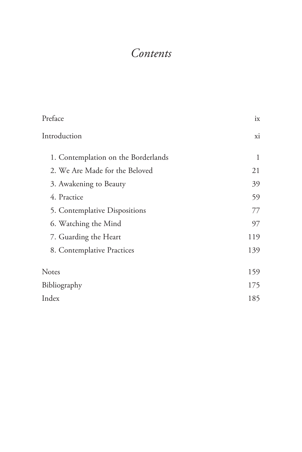# *Contents*

| Preface                             | ix  |
|-------------------------------------|-----|
| Introduction                        | xi  |
| 1. Contemplation on the Borderlands | 1   |
| 2. We Are Made for the Beloved      | 21  |
| 3. Awakening to Beauty              | 39  |
| 4. Practice                         | 59  |
| 5. Contemplative Dispositions       | 77  |
| 6. Watching the Mind                | 97  |
| 7. Guarding the Heart               | 119 |
| 8. Contemplative Practices          | 139 |
| <b>Notes</b>                        | 159 |
| Bibliography                        | 175 |
| Index                               | 185 |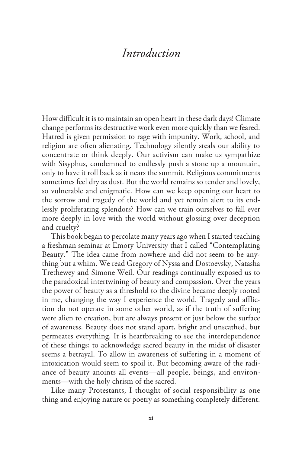# *Introduction*

How difficult it is to maintain an open heart in these dark days! Climate change performs its destructive work even more quickly than we feared. Hatred is given permission to rage with impunity. Work, school, and religion are often alienating. Technology silently steals our ability to concentrate or think deeply. Our activism can make us sympathize with Sisyphus, condemned to endlessly push a stone up a mountain, only to have it roll back as it nears the summit. Religious commitments sometimes feel dry as dust. But the world remains so tender and lovely, so vulnerable and enigmatic. How can we keep opening our heart to the sorrow and tragedy of the world and yet remain alert to its endlessly proliferating splendors? How can we train ourselves to fall ever more deeply in love with the world without glossing over deception and cruelty?

This book began to percolate many years ago when I started teaching a freshman seminar at Emory University that I called "Contemplating Beauty." The idea came from nowhere and did not seem to be anything but a whim. We read Gregory of Nyssa and Dostoevsky, Natasha Trethewey and Simone Weil. Our readings continually exposed us to the paradoxical intertwining of beauty and compassion. Over the years the power of beauty as a threshold to the divine became deeply rooted in me, changing the way I experience the world. Tragedy and affliction do not operate in some other world, as if the truth of suffering were alien to creation, but are always present or just below the surface of awareness. Beauty does not stand apart, bright and unscathed, but permeates everything. It is heartbreaking to see the interdependence of these things; to acknowledge sacred beauty in the midst of disaster seems a betrayal. To allow in awareness of suffering in a moment of intoxication would seem to spoil it. But becoming aware of the radiance of beauty anoints all events—all people, beings, and environments—with the holy chrism of the sacred.

Like many Protestants, I thought of social responsibility as one thing and enjoying nature or poetry as something completely different.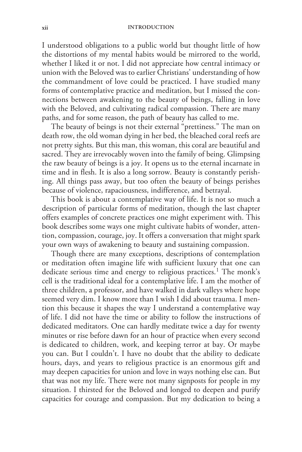#### **xii Introduction**

I understood obligations to a public world but thought little of how the distortions of my mental habits would be mirrored to the world, whether I liked it or not. I did not appreciate how central intimacy or union with the Beloved was to earlier Christians' understanding of how the commandment of love could be practiced. I have studied many forms of contemplative practice and meditation, but I missed the connections between awakening to the beauty of beings, falling in love with the Beloved, and cultivating radical compassion. There are many paths, and for some reason, the path of beauty has called to me.

The beauty of beings is not their external "prettiness." The man on death row, the old woman dying in her bed, the bleached coral reefs are not pretty sights. But this man, this woman, this coral are beautiful and sacred. They are irrevocably woven into the family of being. Glimpsing the raw beauty of beings is a joy. It opens us to the eternal incarnate in time and in flesh. It is also a long sorrow. Beauty is constantly perishing. All things pass away, but too often the beauty of beings perishes because of violence, rapaciousness, indifference, and betrayal.

This book is about a contemplative way of life. It is not so much a description of particular forms of meditation, though the last chapter offers examples of concrete practices one might experiment with. This book describes some ways one might cultivate habits of wonder, attention, compassion, courage, joy. It offers a conversation that might spark your own ways of awakening to beauty and sustaining compassion.

Though there are many exceptions, descriptions of contemplation or meditation often imagine life with sufficient luxury that one can dedicate serious time and energy to religious practices.<sup>1</sup> The monk's cell is the traditional ideal for a contemplative life. I am the mother of three children, a professor, and have walked in dark valleys where hope seemed very dim. I know more than I wish I did about trauma. I mention this because it shapes the way I understand a contemplative way of life. I did not have the time or ability to follow the instructions of dedicated meditators. One can hardly meditate twice a day for twenty minutes or rise before dawn for an hour of practice when every second is dedicated to children, work, and keeping terror at bay. Or maybe you can. But I couldn't. I have no doubt that the ability to dedicate hours, days, and years to religious practice is an enormous gift and may deepen capacities for union and love in ways nothing else can. But that was not my life. There were not many signposts for people in my situation. I thirsted for the Beloved and longed to deepen and purify capacities for courage and compassion. But my dedication to being a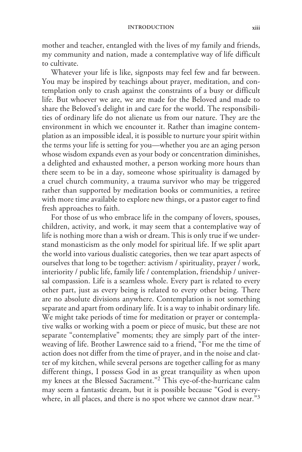mother and teacher, entangled with the lives of my family and friends, my community and nation, made a contemplative way of life difficult to cultivate.

Whatever your life is like, signposts may feel few and far between. You may be inspired by teachings about prayer, meditation, and contemplation only to crash against the constraints of a busy or difficult life. But whoever we are, we are made for the Beloved and made to share the Beloved's delight in and care for the world. The responsibilities of ordinary life do not alienate us from our nature. They are the environment in which we encounter it. Rather than imagine contemplation as an impossible ideal, it is possible to nurture your spirit within the terms your life is setting for you—whether you are an aging person whose wisdom expands even as your body or concentration diminishes, a delighted and exhausted mother, a person working more hours than there seem to be in a day, someone whose spirituality is damaged by a cruel church community, a trauma survivor who may be triggered rather than supported by meditation books or communities, a retiree with more time available to explore new things, or a pastor eager to find fresh approaches to faith.

For those of us who embrace life in the company of lovers, spouses, children, activity, and work, it may seem that a contemplative way of life is nothing more than a wish or dream. This is only true if we understand monasticism as the only model for spiritual life. If we split apart the world into various dualistic categories, then we tear apart aspects of ourselves that long to be together: activism / spirituality, prayer / work, interiority / public life, family life / contemplation, friendship / universal compassion. Life is a seamless whole. Every part is related to every other part, just as every being is related to every other being. There are no absolute divisions anywhere. Contemplation is not something separate and apart from ordinary life. It is a way to inhabit ordinary life. We might take periods of time for meditation or prayer or contemplative walks or working with a poem or piece of music, but these are not separate "contemplative" moments; they are simply part of the interweaving of life. Brother Lawrence said to a friend, "For me the time of action does not differ from the time of prayer, and in the noise and clatter of my kitchen, while several persons are together calling for as many different things, I possess God in as great tranquility as when upon my knees at the Blessed Sacrament."2 This eye-of-the-hurricane calm may seem a fantastic dream, but it is possible because "God is everywhere, in all places, and there is no spot where we cannot draw near."<sup>3</sup>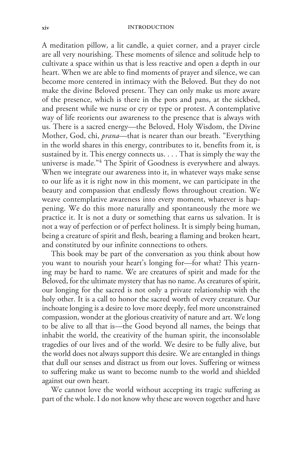#### **xiv Introduction**

A meditation pillow, a lit candle, a quiet corner, and a prayer circle are all very nourishing. These moments of silence and solitude help to cultivate a space within us that is less reactive and open a depth in our heart. When we are able to find moments of prayer and silence, we can become more centered in intimacy with the Beloved. But they do not make the divine Beloved present. They can only make us more aware of the presence, which is there in the pots and pans, at the sickbed, and present while we nurse or cry or type or protest. A contemplative way of life reorients our awareness to the presence that is always with us. There is a sacred energy—the Beloved, Holy Wisdom, the Divine Mother, God, chi, *prana*—that is nearer than our breath. "Everything in the world shares in this energy, contributes to it, benefits from it, is sustained by it. This energy connects us. . . . That is simply the way the universe is made."4 The Spirit of Goodness is everywhere and always. When we integrate our awareness into it, in whatever ways make sense to our life as it is right now in this moment, we can participate in the beauty and compassion that endlessly flows throughout creation. We weave contemplative awareness into every moment, whatever is happening. We do this more naturally and spontaneously the more we practice it. It is not a duty or something that earns us salvation. It is not a way of perfection or of perfect holiness. It is simply being human, being a creature of spirit and flesh, bearing a flaming and broken heart, and constituted by our infinite connections to others.

This book may be part of the conversation as you think about how you want to nourish your heart's longing for—for what? This yearning may be hard to name. We are creatures of spirit and made for the Beloved, for the ultimate mystery that has no name. As creatures of spirit, our longing for the sacred is not only a private relationship with the holy other. It is a call to honor the sacred worth of every creature. Our inchoate longing is a desire to love more deeply, feel more unconstrained compassion, wonder at the glorious creativity of nature and art. We long to be alive to all that is—the Good beyond all names, the beings that inhabit the world, the creativity of the human spirit, the inconsolable tragedies of our lives and of the world. We desire to be fully alive, but the world does not always support this desire. We are entangled in things that dull our senses and distract us from our loves. Suffering or witness to suffering make us want to become numb to the world and shielded against our own heart.

We cannot love the world without accepting its tragic suffering as part of the whole. I do not know why these are woven together and have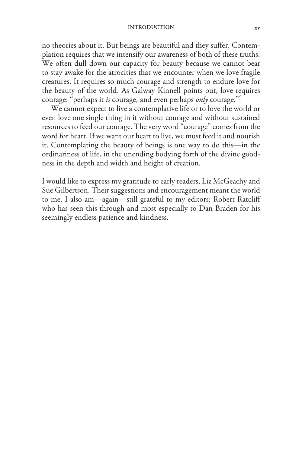#### **Introduction xv**

no theories about it. But beings are beautiful and they suffer. Contemplation requires that we intensify our awareness of both of these truths. We often dull down our capacity for beauty because we cannot bear to stay awake for the atrocities that we encounter when we love fragile creatures. It requires so much courage and strength to endure love for the beauty of the world. As Galway Kinnell points out, love requires courage: "perhaps it *is* courage, and even perhaps *only* courage."5

We cannot expect to live a contemplative life or to love the world or even love one single thing in it without courage and without sustained resources to feed our courage. The very word "courage" comes from the word for heart. If we want our heart to live, we must feed it and nourish it. Contemplating the beauty of beings is one way to do this—in the ordinariness of life, in the unending bodying forth of the divine goodness in the depth and width and height of creation.

I would like to express my gratitude to early readers, Liz McGeachy and Sue Gilbertson. Their suggestions and encouragement meant the world to me. I also am—again—still grateful to my editors: Robert Ratcliff who has seen this through and most especially to Dan Braden for his seemingly endless patience and kindness.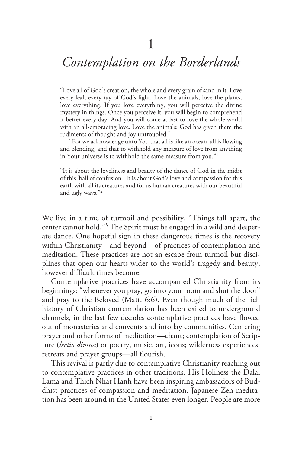# *Contemplation on the Borderlands*

"Love all of God's creation, the whole and every grain of sand in it. Love every leaf, every ray of God's light. Love the animals, love the plants, love everything. If you love everything, you will perceive the divine mystery in things. Once you perceive it, you will begin to comprehend it better every day. And you will come at last to love the whole world with an all-embracing love. Love the animals: God has given them the rudiments of thought and joy untroubled."

"For we acknowledge unto You that all is like an ocean, all is flowing and blending, and that to withhold any measure of love from anything in Your universe is to withhold the same measure from you."<sup>1</sup>

"It is about the loveliness and beauty of the dance of God in the midst of this 'ball of confusion.' It is about God's love and compassion for this earth with all its creatures and for us human creatures with our beautiful and ugly ways."<sup>2</sup>

We live in a time of turmoil and possibility. "Things fall apart, the center cannot hold."3 The Spirit must be engaged in a wild and desperate dance. One hopeful sign in these dangerous times is the recovery within Christianity—and beyond—of practices of contemplation and meditation. These practices are not an escape from turmoil but disciplines that open our hearts wider to the world's tragedy and beauty, however difficult times become.

Contemplative practices have accompanied Christianity from its beginnings: "whenever you pray, go into your room and shut the door" and pray to the Beloved (Matt. 6:6). Even though much of the rich history of Christian contemplation has been exiled to underground channels, in the last few decades contemplative practices have flowed out of monasteries and convents and into lay communities. Centering prayer and other forms of meditation—chant; contemplation of Scripture (*lectio divina*) or poetry, music, art, icons; wilderness experiences; retreats and prayer groups—all flourish.

This revival is partly due to contemplative Christianity reaching out to contemplative practices in other traditions. His Holiness the Dalai Lama and Thich Nhat Hanh have been inspiring ambassadors of Buddhist practices of compassion and meditation. Japanese Zen meditation has been around in the United States even longer. People are more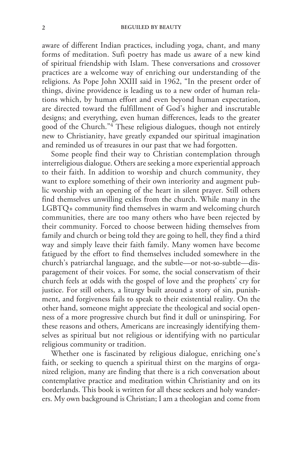aware of different Indian practices, including yoga, chant, and many forms of meditation. Sufi poetry has made us aware of a new kind of spiritual friendship with Islam. These conversations and crossover practices are a welcome way of enriching our understanding of the religions. As Pope John XXIII said in 1962, "In the present order of things, divine providence is leading us to a new order of human relations which, by human effort and even beyond human expectation, are directed toward the fulfillment of God's higher and inscrutable designs; and everything, even human differences, leads to the greater good of the Church."4 These religious dialogues, though not entirely new to Christianity, have greatly expanded our spiritual imagination and reminded us of treasures in our past that we had forgotten.

Some people find their way to Christian contemplation through interreligious dialogue. Others are seeking a more experiential approach to their faith. In addition to worship and church community, they want to explore something of their own interiority and augment public worship with an opening of the heart in silent prayer. Still others find themselves unwilling exiles from the church. While many in the LGBTQ+ community find themselves in warm and welcoming church communities, there are too many others who have been rejected by their community. Forced to choose between hiding themselves from family and church or being told they are going to hell, they find a third way and simply leave their faith family. Many women have become fatigued by the effort to find themselves included somewhere in the church's patriarchal language, and the subtle—or not-so-subtle—disparagement of their voices. For some, the social conservatism of their church feels at odds with the gospel of love and the prophets' cry for justice. For still others, a liturgy built around a story of sin, punishment, and forgiveness fails to speak to their existential reality. On the other hand, someone might appreciate the theological and social openness of a more progressive church but find it dull or uninspiring. For these reasons and others, Americans are increasingly identifying themselves as spiritual but not religious or identifying with no particular religious community or tradition.

Whether one is fascinated by religious dialogue, enriching one's faith, or seeking to quench a spiritual thirst on the margins of organized religion, many are finding that there is a rich conversation about contemplative practice and meditation within Christianity and on its borderlands. This book is written for all these seekers and holy wanderers. My own background is Christian; I am a theologian and come from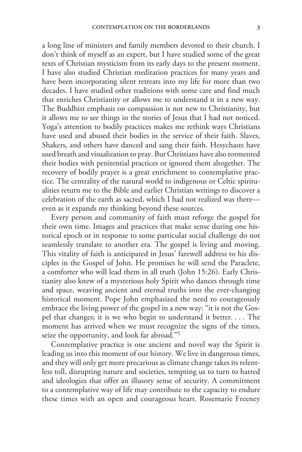a long line of ministers and family members devoted to their church. I don't think of myself as an expert, but I have studied some of the great texts of Christian mysticism from its early days to the present moment. I have also studied Christian meditation practices for many years and have been incorporating silent retreats into my life for more than two decades. I have studied other traditions with some care and find much that enriches Christianity or allows me to understand it in a new way. The Buddhist emphasis on compassion is not new to Christianity, but it allows me to see things in the stories of Jesus that I had not noticed. Yoga's attention to bodily practices makes me rethink ways Christians have used and abused their bodies in the service of their faith. Slaves, Shakers, and others have danced and sang their faith. Hesychasts have used breath and visualization to pray. But Christians have also tormented their bodies with penitential practices or ignored them altogether. The recovery of bodily prayer is a great enrichment to contemplative practice. The centrality of the natural world to indigenous or Celtic spiritualities return me to the Bible and earlier Christian writings to discover a celebration of the earth as sacred, which I had not realized was there even as it expands my thinking beyond these sources.

Every person and community of faith must reforge the gospel for their own time. Images and practices that make sense during one historical epoch or in response to some particular social challenge do not seamlessly translate to another era. The gospel is living and moving. This vitality of faith is anticipated in Jesus' farewell address to his disciples in the Gospel of John. He promises he will send the Paraclete, a comforter who will lead them in all truth (John 15:26). Early Christianity also knew of a mysterious holy Spirit who dances through time and space, weaving ancient and eternal truths into the ever-changing historical moment. Pope John emphasized the need to courageously embrace the living power of the gospel in a new way: "it is not the Gospel that changes; it is we who begin to understand it better. . . . The moment has arrived when we must recognize the signs of the times, seize the opportunity, and look far abroad."5

Contemplative practice is one ancient and novel way the Spirit is leading us into this moment of our history. We live in dangerous times, and they will only get more precarious as climate change takes its relentless toll, disrupting nature and societies, tempting us to turn to hatred and ideologies that offer an illusory sense of security. A commitment to a contemplative way of life may contribute to the capacity to endure these times with an open and courageous heart. Rosemarie Freeney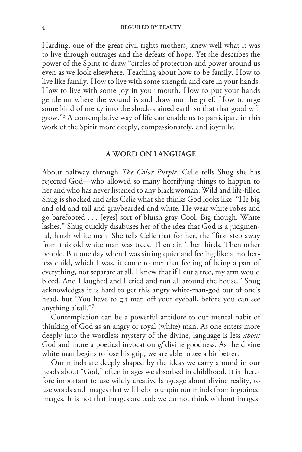Harding, one of the great civil rights mothers, knew well what it was to live through outrages and the defeats of hope. Yet she describes the power of the Spirit to draw "circles of protection and power around us even as we look elsewhere. Teaching about how to be family. How to live like family. How to live with some strength and care in your hands. How to live with some joy in your mouth. How to put your hands gentle on where the wound is and draw out the grief. How to urge some kind of mercy into the shock-stained earth so that that good will grow."<sup>6</sup> A contemplative way of life can enable us to participate in this work of the Spirit more deeply, compassionately, and joyfully.

# **A WORD ON LANGUAGE**

About halfway through *The Color Purple*, Celie tells Shug she has rejected God—who allowed so many horrifying things to happen to her and who has never listened to any black woman. Wild and life-filled Shug is shocked and asks Celie what she thinks God looks like: "He big and old and tall and graybearded and white. He wear white robes and go barefooted . . . [eyes] sort of bluish-gray Cool. Big though. White lashes." Shug quickly disabuses her of the idea that God is a judgmental, harsh white man. She tells Celie that for her, the "first step away from this old white man was trees. Then air. Then birds. Then other people. But one day when I was sitting quiet and feeling like a motherless child, which I was, it come to me: that feeling of being a part of everything, not separate at all. I knew that if I cut a tree, my arm would bleed. And I laughed and I cried and run all around the house." Shug acknowledges it is hard to get this angry white-man-god out of one's head, but "You have to git man off your eyeball, before you can see anything a'tall."7

Contemplation can be a powerful antidote to our mental habit of thinking of God as an angry or royal (white) man. As one enters more deeply into the wordless mystery of the divine, language is less *about*  God and more a poetical invocation *of* divine goodness. As the divine white man begins to lose his grip, we are able to see a bit better.

Our minds are deeply shaped by the ideas we carry around in our heads about "God," often images we absorbed in childhood. It is therefore important to use wildly creative language about divine reality, to use words and images that will help to unpin our minds from ingrained images. It is not that images are bad; we cannot think without images.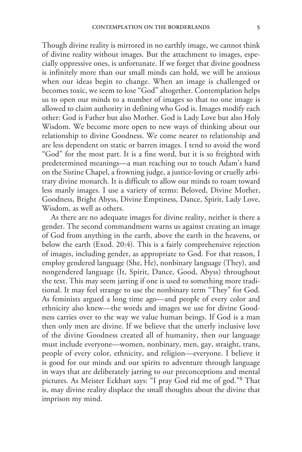Though divine reality is mirrored in no earthly image, we cannot think of divine reality without images. But the attachment to images, especially oppressive ones, is unfortunate. If we forget that divine goodness is infinitely more than our small minds can hold, we will be anxious when our ideas begin to change. When an image is challenged or becomes toxic, we seem to lose "God" altogether. Contemplation helps us to open our minds to a number of images so that no one image is allowed to claim authority in defining who God is. Images modify each other: God is Father but also Mother. God is Lady Love but also Holy Wisdom. We become more open to new ways of thinking about our relationship to divine Goodness. We come nearer to relationship and are less dependent on static or barren images. I tend to avoid the word "God" for the most part. It is a fine word, but it is so freighted with predetermined meanings—a man reaching out to touch Adam's hand on the Sistine Chapel, a frowning judge, a justice-loving or cruelly arbitrary divine monarch. It is difficult to allow our minds to roam toward less manly images. I use a variety of terms: Beloved, Divine Mother, Goodness, Bright Abyss, Divine Emptiness, Dance, Spirit, Lady Love, Wisdom, as well as others.

As there are no adequate images for divine reality, neither is there a gender. The second commandment warns us against creating an image of God from anything in the earth, above the earth in the heavens, or below the earth (Exod. 20:4). This is a fairly comprehensive rejection of images, including gender, as appropriate to God. For that reason, I employ gendered language (She, He), nonbinary language (They), and nongendered language (It, Spirit, Dance, Good, Abyss) throughout the text. This may seem jarring if one is used to something more traditional. It may feel strange to use the nonbinary term "They" for God. As feminists argued a long time ago—and people of every color and ethnicity also knew—the words and images we use for divine Goodness carries over to the way we value human beings. If God is a man then only men are divine. If we believe that the utterly inclusive love of the divine Goodness created all of humanity, then our language must include everyone—women, nonbinary, men, gay, straight, trans, people of every color, ethnicity, and religion—everyone. I believe it is good for our minds and our spirits to adventure through language in ways that are deliberately jarring to our preconceptions and mental pictures. As Meister Eckhart says: "I pray God rid me of god."8 That is, may divine reality displace the small thoughts about the divine that imprison my mind.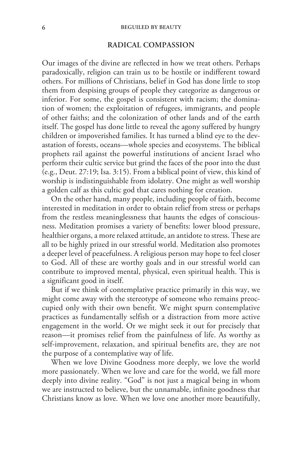#### **6 BEGUILED BY BEAUTY**

## **RADICAL COMPASSION**

Our images of the divine are reflected in how we treat others. Perhaps paradoxically, religion can train us to be hostile or indifferent toward others. For millions of Christians, belief in God has done little to stop them from despising groups of people they categorize as dangerous or inferior. For some, the gospel is consistent with racism; the domination of women; the exploitation of refugees, immigrants, and people of other faiths; and the colonization of other lands and of the earth itself. The gospel has done little to reveal the agony suffered by hungry children or impoverished families. It has turned a blind eye to the devastation of forests, oceans—whole species and ecosystems. The biblical prophets rail against the powerful institutions of ancient Israel who perform their cultic service but grind the faces of the poor into the dust (e.g., Deut. 27:19; Isa. 3:15). From a biblical point of view, this kind of worship is indistinguishable from idolatry. One might as well worship a golden calf as this cultic god that cares nothing for creation.

On the other hand, many people, including people of faith, become interested in meditation in order to obtain relief from stress or perhaps from the restless meaninglessness that haunts the edges of consciousness. Meditation promises a variety of benefits: lower blood pressure, healthier organs, a more relaxed attitude, an antidote to stress. These are all to be highly prized in our stressful world. Meditation also promotes a deeper level of peacefulness. A religious person may hope to feel closer to God. All of these are worthy goals and in our stressful world can contribute to improved mental, physical, even spiritual health. This is a significant good in itself.

But if we think of contemplative practice primarily in this way, we might come away with the stereotype of someone who remains preoccupied only with their own benefit. We might spurn contemplative practices as fundamentally selfish or a distraction from more active engagement in the world. Or we might seek it out for precisely that reason—it promises relief from the painfulness of life. As worthy as self-improvement, relaxation, and spiritual benefits are, they are not the purpose of a contemplative way of life.

When we love Divine Goodness more deeply, we love the world more passionately. When we love and care for the world, we fall more deeply into divine reality. "God" is not just a magical being in whom we are instructed to believe, but the unnamable, infinite goodness that Christians know as love. When we love one another more beautifully,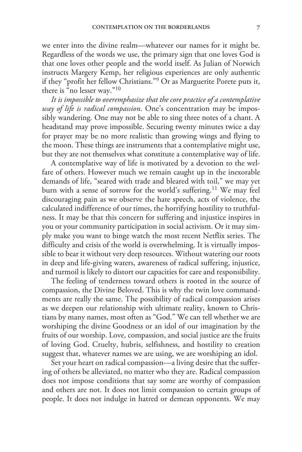we enter into the divine realm—whatever our names for it might be. Regardless of the words we use, the primary sign that one loves God is that one loves other people and the world itself. As Julian of Norwich instructs Margery Kemp, her religious experiences are only authentic if they "profit her fellow Christians."9 Or as Marguerite Porete puts it, there is "no lesser way."10

*It is impossible to overemphasize that the core practice of a contemplative way of life is radical compassion*. One's concentration may be impossibly wandering. One may not be able to sing three notes of a chant. A headstand may prove impossible. Securing twenty minutes twice a day for prayer may be no more realistic than growing wings and flying to the moon. These things are instruments that a contemplative might use, but they are not themselves what constitute a contemplative way of life.

A contemplative way of life is motivated by a devotion to the welfare of others. However much we remain caught up in the inexorable demands of life, "seared with trade and bleared with toil," we may yet burn with a sense of sorrow for the world's suffering.<sup>11</sup> We may feel discouraging pain as we observe the hate speech, acts of violence, the calculated indifference of our times, the horrifying hostility to truthfulness. It may be that this concern for suffering and injustice inspires in you or your community participation in social activism. Or it may simply make you want to binge watch the most recent Netflix series. The difficulty and crisis of the world is overwhelming. It is virtually impossible to bear it without very deep resources. Without watering our roots in deep and life-giving waters, awareness of radical suffering, injustice, and turmoil is likely to distort our capacities for care and responsibility.

The feeling of tenderness toward others is rooted in the source of compassion, the Divine Beloved. This is why the twin love commandments are really the same. The possibility of radical compassion arises as we deepen our relationship with ultimate reality, known to Christians by many names, most often as "God." We can tell whether we are worshiping the divine Goodness or an idol of our imagination by the fruits of our worship. Love, compassion, and social justice are the fruits of loving God. Cruelty, hubris, selfishness, and hostility to creation suggest that, whatever names we are using, we are worshiping an idol.

Set your heart on radical compassion—a living desire that the suffering of others be alleviated, no matter who they are. Radical compassion does not impose conditions that say some are worthy of compassion and others are not. It does not limit compassion to certain groups of people. It does not indulge in hatred or demean opponents. We may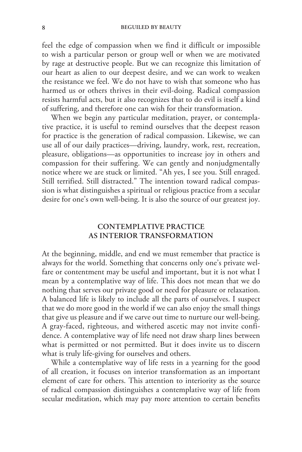feel the edge of compassion when we find it difficult or impossible to wish a particular person or group well or when we are motivated by rage at destructive people. But we can recognize this limitation of our heart as alien to our deepest desire, and we can work to weaken the resistance we feel. We do not have to wish that someone who has harmed us or others thrives in their evil-doing. Radical compassion resists harmful acts, but it also recognizes that to do evil is itself a kind of suffering, and therefore one can wish for their transformation.

When we begin any particular meditation, prayer, or contemplative practice, it is useful to remind ourselves that the deepest reason for practice is the generation of radical compassion. Likewise, we can use all of our daily practices—driving, laundry, work, rest, recreation, pleasure, obligations—as opportunities to increase joy in others and compassion for their suffering. We can gently and nonjudgmentally notice where we are stuck or limited. "Ah yes, I see you. Still enraged. Still terrified. Still distracted." The intention toward radical compassion is what distinguishes a spiritual or religious practice from a secular desire for one's own well-being. It is also the source of our greatest joy.

# **CONTEMPLATIVE PRACTICE AS INTERIOR TRANSFORMATION**

At the beginning, middle, and end we must remember that practice is always for the world. Something that concerns only one's private welfare or contentment may be useful and important, but it is not what I mean by a contemplative way of life. This does not mean that we do nothing that serves our private good or need for pleasure or relaxation. A balanced life is likely to include all the parts of ourselves. I suspect that we do more good in the world if we can also enjoy the small things that give us pleasure and if we carve out time to nurture our well-being. A gray-faced, righteous, and withered ascetic may not invite confidence. A contemplative way of life need not draw sharp lines between what is permitted or not permitted. But it does invite us to discern what is truly life-giving for ourselves and others.

While a contemplative way of life rests in a yearning for the good of all creation, it focuses on interior transformation as an important element of care for others. This attention to interiority as the source of radical compassion distinguishes a contemplative way of life from secular meditation, which may pay more attention to certain benefits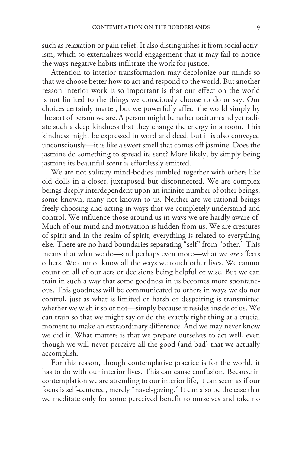such as relaxation or pain relief. It also distinguishes it from social activism, which so externalizes world engagement that it may fail to notice the ways negative habits infiltrate the work for justice.

Attention to interior transformation may decolonize our minds so that we choose better how to act and respond to the world. But another reason interior work is so important is that our effect on the world is not limited to the things we consciously choose to do or say. Our choices certainly matter, but we powerfully affect the world simply by the sort of person we are. A person might be rather taciturn and yet radiate such a deep kindness that they change the energy in a room. This kindness might be expressed in word and deed, but it is also conveyed unconsciously—it is like a sweet smell that comes off jasmine. Does the jasmine do something to spread its sent? More likely, by simply being jasmine its beautiful scent is effortlessly emitted.

We are not solitary mind-bodies jumbled together with others like old dolls in a closet, juxtaposed but disconnected. We are complex beings deeply interdependent upon an infinite number of other beings, some known, many not known to us. Neither are we rational beings freely choosing and acting in ways that we completely understand and control. We influence those around us in ways we are hardly aware of. Much of our mind and motivation is hidden from us. We are creatures of spirit and in the realm of spirit, everything is related to everything else. There are no hard boundaries separating "self" from "other." This means that what we do—and perhaps even more—what we *are* affects others. We cannot know all the ways we touch other lives. We cannot count on all of our acts or decisions being helpful or wise. But we can train in such a way that some goodness in us becomes more spontaneous. This goodness will be communicated to others in ways we do not control, just as what is limited or harsh or despairing is transmitted whether we wish it so or not—simply because it resides inside of us. We can train so that we might say or do the exactly right thing at a crucial moment to make an extraordinary difference. And we may never know we did it. What matters is that we prepare ourselves to act well, even though we will never perceive all the good (and bad) that we actually accomplish.

For this reason, though contemplative practice is for the world, it has to do with our interior lives. This can cause confusion. Because in contemplation we are attending to our interior life, it can seem as if our focus is self-centered, merely "navel-gazing." It can also be the case that we meditate only for some perceived benefit to ourselves and take no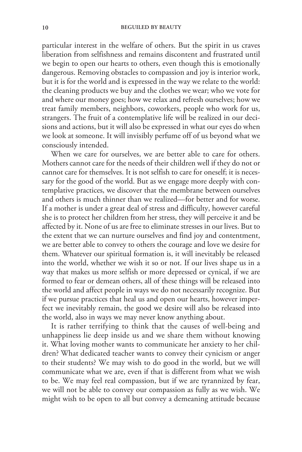particular interest in the welfare of others. But the spirit in us craves liberation from selfishness and remains discontent and frustrated until we begin to open our hearts to others, even though this is emotionally dangerous. Removing obstacles to compassion and joy is interior work, but it is for the world and is expressed in the way we relate to the world: the cleaning products we buy and the clothes we wear; who we vote for and where our money goes; how we relax and refresh ourselves; how we treat family members, neighbors, coworkers, people who work for us, strangers. The fruit of a contemplative life will be realized in our decisions and actions, but it will also be expressed in what our eyes do when we look at someone. It will invisibly perfume off of us beyond what we consciously intended.

When we care for ourselves, we are better able to care for others. Mothers cannot care for the needs of their children well if they do not or cannot care for themselves. It is not selfish to care for oneself; it is necessary for the good of the world. But as we engage more deeply with contemplative practices, we discover that the membrane between ourselves and others is much thinner than we realized—for better and for worse. If a mother is under a great deal of stress and difficulty, however careful she is to protect her children from her stress, they will perceive it and be affected by it. None of us are free to eliminate stresses in our lives. But to the extent that we can nurture ourselves and find joy and contentment, we are better able to convey to others the courage and love we desire for them. Whatever our spiritual formation is, it will inevitably be released into the world, whether we wish it so or not. If our lives shape us in a way that makes us more selfish or more depressed or cynical, if we are formed to fear or demean others, all of these things will be released into the world and affect people in ways we do not necessarily recognize. But if we pursue practices that heal us and open our hearts, however imperfect we inevitably remain, the good we desire will also be released into the world, also in ways we may never know anything about.

It is rather terrifying to think that the causes of well-being and unhappiness lie deep inside us and we share them without knowing it. What loving mother wants to communicate her anxiety to her children? What dedicated teacher wants to convey their cynicism or anger to their students? We may wish to do good in the world, but we will communicate what we are, even if that is different from what we wish to be. We may feel real compassion, but if we are tyrannized by fear, we will not be able to convey our compassion as fully as we wish. We might wish to be open to all but convey a demeaning attitude because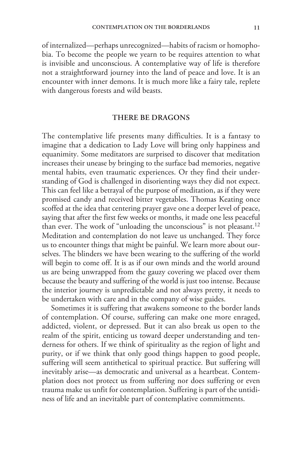of internalized—perhaps unrecognized—habits of racism or homophobia. To become the people we yearn to be requires attention to what is invisible and unconscious. A contemplative way of life is therefore not a straightforward journey into the land of peace and love. It is an encounter with inner demons. It is much more like a fairy tale, replete with dangerous forests and wild beasts.

## **THERE BE DRAGONS**

The contemplative life presents many difficulties. It is a fantasy to imagine that a dedication to Lady Love will bring only happiness and equanimity. Some meditators are surprised to discover that meditation increases their unease by bringing to the surface bad memories, negative mental habits, even traumatic experiences. Or they find their understanding of God is challenged in disorienting ways they did not expect. This can feel like a betrayal of the purpose of meditation, as if they were promised candy and received bitter vegetables. Thomas Keating once scoffed at the idea that centering prayer gave one a deeper level of peace, saying that after the first few weeks or months, it made one less peaceful than ever. The work of "unloading the unconscious" is not pleasant.<sup>12</sup> Meditation and contemplation do not leave us unchanged. They force us to encounter things that might be painful. We learn more about ourselves. The blinders we have been wearing to the suffering of the world will begin to come off. It is as if our own minds and the world around us are being unwrapped from the gauzy covering we placed over them because the beauty and suffering of the world is just too intense. Because the interior journey is unpredictable and not always pretty, it needs to be undertaken with care and in the company of wise guides.

Sometimes it is suffering that awakens someone to the border lands of contemplation. Of course, suffering can make one more enraged, addicted, violent, or depressed. But it can also break us open to the realm of the spirit, enticing us toward deeper understanding and tenderness for others. If we think of spirituality as the region of light and purity, or if we think that only good things happen to good people, suffering will seem antithetical to spiritual practice. But suffering will inevitably arise—as democratic and universal as a heartbeat. Contemplation does not protect us from suffering nor does suffering or even trauma make us unfit for contemplation. Suffering is part of the untidiness of life and an inevitable part of contemplative commitments.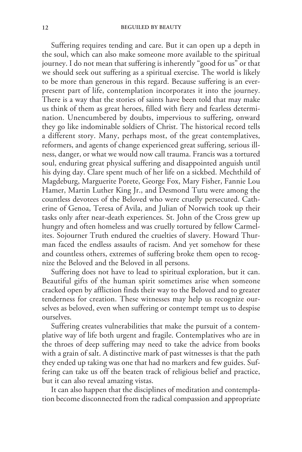Suffering requires tending and care. But it can open up a depth in the soul, which can also make someone more available to the spiritual journey. I do not mean that suffering is inherently "good for us" or that we should seek out suffering as a spiritual exercise. The world is likely to be more than generous in this regard. Because suffering is an everpresent part of life, contemplation incorporates it into the journey. There is a way that the stories of saints have been told that may make us think of them as great heroes, filled with fiery and fearless determination. Unencumbered by doubts, impervious to suffering, onward they go like indominable soldiers of Christ. The historical record tells a different story. Many, perhaps most, of the great contemplatives, reformers, and agents of change experienced great suffering, serious illness, danger, or what we would now call trauma. Francis was a tortured soul, enduring great physical suffering and disappointed anguish until his dying day. Clare spent much of her life on a sickbed. Mechthild of Magdeburg, Marguerite Porete, George Fox, Mary Fisher, Fannie Lou Hamer, Martin Luther King Jr., and Desmond Tutu were among the countless devotees of the Beloved who were cruelly persecuted. Catherine of Genoa, Teresa of Avila, and Julian of Norwich took up their tasks only after near-death experiences. St. John of the Cross grew up hungry and often homeless and was cruelly tortured by fellow Carmelites. Sojourner Truth endured the cruelties of slavery. Howard Thurman faced the endless assaults of racism. And yet somehow for these and countless others, extremes of suffering broke them open to recognize the Beloved and the Beloved in all persons.

Suffering does not have to lead to spiritual exploration, but it can. Beautiful gifts of the human spirit sometimes arise when someone cracked open by affliction finds their way to the Beloved and to greater tenderness for creation. These witnesses may help us recognize ourselves as beloved, even when suffering or contempt tempt us to despise ourselves.

Suffering creates vulnerabilities that make the pursuit of a contemplative way of life both urgent and fragile. Contemplatives who are in the throes of deep suffering may need to take the advice from books with a grain of salt. A distinctive mark of past witnesses is that the path they ended up taking was one that had no markers and few guides. Suffering can take us off the beaten track of religious belief and practice, but it can also reveal amazing vistas.

It can also happen that the disciplines of meditation and contemplation become disconnected from the radical compassion and appropriate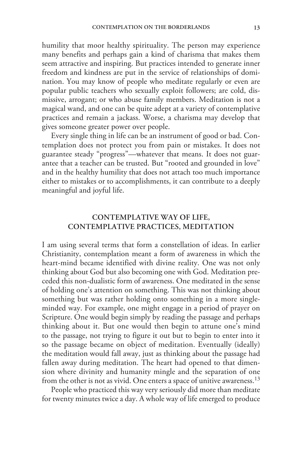humility that moor healthy spirituality. The person may experience many benefits and perhaps gain a kind of charisma that makes them seem attractive and inspiring. But practices intended to generate inner freedom and kindness are put in the service of relationships of domination. You may know of people who meditate regularly or even are popular public teachers who sexually exploit followers; are cold, dismissive, arrogant; or who abuse family members. Meditation is not a magical wand, and one can be quite adept at a variety of contemplative practices and remain a jackass. Worse, a charisma may develop that gives someone greater power over people.

Every single thing in life can be an instrument of good or bad. Contemplation does not protect you from pain or mistakes. It does not guarantee steady "progress"—whatever that means. It does not guarantee that a teacher can be trusted. But "rooted and grounded in love" and in the healthy humility that does not attach too much importance either to mistakes or to accomplishments, it can contribute to a deeply meaningful and joyful life.

# **CONTEMPLATIVE WAY OF LIFE, CONTEMPLATIVE PRACTICES, MEDITATION**

I am using several terms that form a constellation of ideas. In earlier Christianity, contemplation meant a form of awareness in which the heart-mind became identified with divine reality. One was not only thinking about God but also becoming one with God. Meditation preceded this non-dualistic form of awareness. One meditated in the sense of holding one's attention on something. This was not thinking about something but was rather holding onto something in a more singleminded way. For example, one might engage in a period of prayer on Scripture. One would begin simply by reading the passage and perhaps thinking about it. But one would then begin to attune one's mind to the passage, not trying to figure it out but to begin to enter into it so the passage became on object of meditation. Eventually (ideally) the meditation would fall away, just as thinking about the passage had fallen away during meditation. The heart had opened to that dimension where divinity and humanity mingle and the separation of one from the other is not as vivid. One enters a space of unitive awareness.  $^{13}$ 

People who practiced this way very seriously did more than meditate for twenty minutes twice a day. A whole way of life emerged to produce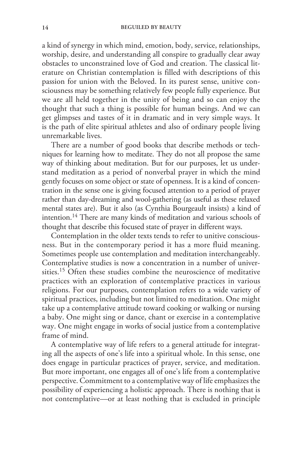a kind of synergy in which mind, emotion, body, service, relationships, worship, desire, and understanding all conspire to gradually clear away obstacles to unconstrained love of God and creation. The classical literature on Christian contemplation is filled with descriptions of this passion for union with the Beloved. In its purest sense, unitive consciousness may be something relatively few people fully experience. But we are all held together in the unity of being and so can enjoy the thought that such a thing is possible for human beings. And we can get glimpses and tastes of it in dramatic and in very simple ways. It is the path of elite spiritual athletes and also of ordinary people living unremarkable lives.

There are a number of good books that describe methods or techniques for learning how to meditate. They do not all propose the same way of thinking about meditation. But for our purposes, let us understand meditation as a period of nonverbal prayer in which the mind gently focuses on some object or state of openness. It is a kind of concentration in the sense one is giving focused attention to a period of prayer rather than day-dreaming and wool-gathering (as useful as these relaxed mental states are). But it also (as Cynthia Bourgeault insists) a kind of intention.14 There are many kinds of meditation and various schools of thought that describe this focused state of prayer in different ways.

Contemplation in the older texts tends to refer to unitive consciousness. But in the contemporary period it has a more fluid meaning. Sometimes people use contemplation and meditation interchangeably. Contemplative studies is now a concentration in a number of universities.<sup>15</sup> Often these studies combine the neuroscience of meditative practices with an exploration of contemplative practices in various religions. For our purposes, contemplation refers to a wide variety of spiritual practices, including but not limited to meditation. One might take up a contemplative attitude toward cooking or walking or nursing a baby. One might sing or dance, chant or exercise in a contemplative way. One might engage in works of social justice from a contemplative frame of mind.

A contemplative way of life refers to a general attitude for integrating all the aspects of one's life into a spiritual whole. In this sense, one does engage in particular practices of prayer, service, and meditation. But more important, one engages all of one's life from a contemplative perspective. Commitment to a contemplative way of life emphasizes the possibility of experiencing a holistic approach. There is nothing that is not contemplative—or at least nothing that is excluded in principle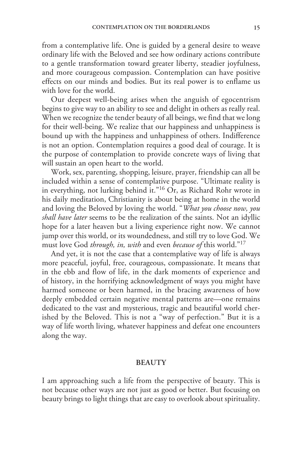from a contemplative life. One is guided by a general desire to weave ordinary life with the Beloved and see how ordinary actions contribute to a gentle transformation toward greater liberty, steadier joyfulness, and more courageous compassion. Contemplation can have positive effects on our minds and bodies. But its real power is to enflame us with love for the world.

Our deepest well-being arises when the anguish of egocentrism begins to give way to an ability to see and delight in others as really real. When we recognize the tender beauty of all beings, we find that we long for their well-being. We realize that our happiness and unhappiness is bound up with the happiness and unhappiness of others. Indifference is not an option. Contemplation requires a good deal of courage. It is the purpose of contemplation to provide concrete ways of living that will sustain an open heart to the world.

Work, sex, parenting, shopping, leisure, prayer, friendship can all be included within a sense of contemplative purpose. "Ultimate reality is in everything, not lurking behind it."16 Or, as Richard Rohr wrote in his daily meditation, Christianity is about being at home in the world and loving the Beloved by loving the world. "*What you choose now, you shall have later* seems to be the realization of the saints. Not an idyllic hope for a later heaven but a living experience right now. We cannot jump over this world, or its woundedness, and still try to love God. We must love God *through, in, with* and even *because of* this world."17

And yet, it is not the case that a contemplative way of life is always more peaceful, joyful, free, courageous, compassionate. It means that in the ebb and flow of life, in the dark moments of experience and of history, in the horrifying acknowledgment of ways you might have harmed someone or been harmed, in the bracing awareness of how deeply embedded certain negative mental patterns are—one remains dedicated to the vast and mysterious, tragic and beautiful world cherished by the Beloved. This is not a "way of perfection." But it is a way of life worth living, whatever happiness and defeat one encounters along the way.

### **BEAUTY**

I am approaching such a life from the perspective of beauty. This is not because other ways are not just as good or better. But focusing on beauty brings to light things that are easy to overlook about spirituality.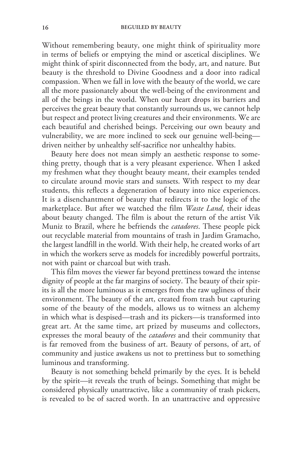Without remembering beauty, one might think of spirituality more in terms of beliefs or emptying the mind or ascetical disciplines. We might think of spirit disconnected from the body, art, and nature. But beauty is the threshold to Divine Goodness and a door into radical compassion. When we fall in love with the beauty of the world, we care all the more passionately about the well-being of the environment and all of the beings in the world. When our heart drops its barriers and perceives the great beauty that constantly surrounds us, we cannot help but respect and protect living creatures and their environments. We are each beautiful and cherished beings. Perceiving our own beauty and vulnerability, we are more inclined to seek our genuine well-being driven neither by unhealthy self-sacrifice nor unhealthy habits.

Beauty here does not mean simply an aesthetic response to something pretty, though that is a very pleasant experience. When I asked my freshmen what they thought beauty meant, their examples tended to circulate around movie stars and sunsets. With respect to my dear students, this reflects a degeneration of beauty into nice experiences. It is a disenchantment of beauty that redirects it to the logic of the marketplace. But after we watched the film *Waste Land*, their ideas about beauty changed. The film is about the return of the artist Vik Muniz to Brazil, where he befriends the *catadores*. These people pick out recyclable material from mountains of trash in Jardim Gramacho, the largest landfill in the world. With their help, he created works of art in which the workers serve as models for incredibly powerful portraits, not with paint or charcoal but with trash.

This film moves the viewer far beyond prettiness toward the intense dignity of people at the far margins of society. The beauty of their spirits is all the more luminous as it emerges from the raw ugliness of their environment. The beauty of the art, created from trash but capturing some of the beauty of the models, allows us to witness an alchemy in which what is despised—trash and its pickers—is transformed into great art. At the same time, art prized by museums and collectors, expresses the moral beauty of the *catadores* and their community that is far removed from the business of art. Beauty of persons, of art, of community and justice awakens us not to prettiness but to something luminous and transforming.

Beauty is not something beheld primarily by the eyes. It is beheld by the spirit—it reveals the truth of beings. Something that might be considered physically unattractive, like a community of trash pickers, is revealed to be of sacred worth. In an unattractive and oppressive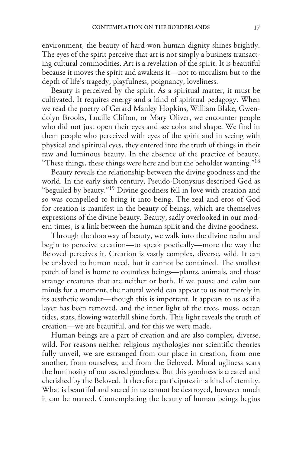environment, the beauty of hard-won human dignity shines brightly. The eyes of the spirit perceive that art is not simply a business transacting cultural commodities. Art is a revelation of the spirit. It is beautiful because it moves the spirit and awakens it—not to moralism but to the depth of life's tragedy, playfulness, poignancy, loveliness.

Beauty is perceived by the spirit. As a spiritual matter, it must be cultivated. It requires energy and a kind of spiritual pedagogy. When we read the poetry of Gerard Manley Hopkins, William Blake, Gwendolyn Brooks, Lucille Clifton, or Mary Oliver, we encounter people who did not just open their eyes and see color and shape. We find in them people who perceived with eyes of the spirit and in seeing with physical and spiritual eyes, they entered into the truth of things in their raw and luminous beauty. In the absence of the practice of beauty, "These things, these things were here and but the beholder wanting."18

Beauty reveals the relationship between the divine goodness and the world. In the early sixth century, Pseudo-Dionysius described God as "beguiled by beauty."19 Divine goodness fell in love with creation and so was compelled to bring it into being. The zeal and eros of God for creation is manifest in the beauty of beings, which are themselves expressions of the divine beauty. Beauty, sadly overlooked in our modern times, is a link between the human spirit and the divine goodness.

Through the doorway of beauty, we walk into the divine realm and begin to perceive creation—to speak poetically—more the way the Beloved perceives it. Creation is vastly complex, diverse, wild. It can be enslaved to human need, but it cannot be contained. The smallest patch of land is home to countless beings—plants, animals, and those strange creatures that are neither or both. If we pause and calm our minds for a moment, the natural world can appear to us not merely in its aesthetic wonder—though this is important. It appears to us as if a layer has been removed, and the inner light of the trees, moss, ocean tides, stars, flowing waterfall shine forth. This light reveals the truth of creation—we are beautiful, and for this we were made.

Human beings are a part of creation and are also complex, diverse, wild. For reasons neither religious mythologies nor scientific theories fully unveil, we are estranged from our place in creation, from one another, from ourselves, and from the Beloved. Moral ugliness scars the luminosity of our sacred goodness. But this goodness is created and cherished by the Beloved. It therefore participates in a kind of eternity. What is beautiful and sacred in us cannot be destroyed, however much it can be marred. Contemplating the beauty of human beings begins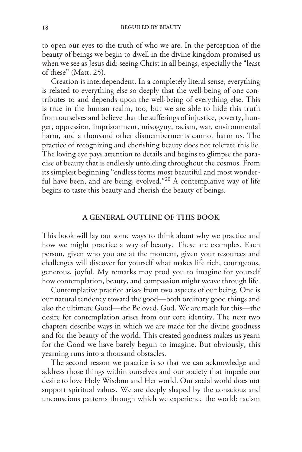to open our eyes to the truth of who we are. In the perception of the beauty of beings we begin to dwell in the divine kingdom promised us when we see as Jesus did: seeing Christ in all beings, especially the "least of these" (Matt. 25).

Creation is interdependent. In a completely literal sense, everything is related to everything else so deeply that the well-being of one contributes to and depends upon the well-being of everything else. This is true in the human realm, too, but we are able to hide this truth from ourselves and believe that the sufferings of injustice, poverty, hunger, oppression, imprisonment, misogyny, racism, war, environmental harm, and a thousand other dismemberments cannot harm us. The practice of recognizing and cherishing beauty does not tolerate this lie. The loving eye pays attention to details and begins to glimpse the paradise of beauty that is endlessly unfolding throughout the cosmos. From its simplest beginning "endless forms most beautiful and most wonderful have been, and are being, evolved."<sup>20</sup> A contemplative way of life begins to taste this beauty and cherish the beauty of beings.

## **A GENERAL OUTLINE OF THIS BOOK**

This book will lay out some ways to think about why we practice and how we might practice a way of beauty. These are examples. Each person, given who you are at the moment, given your resources and challenges will discover for yourself what makes life rich, courageous, generous, joyful. My remarks may prod you to imagine for yourself how contemplation, beauty, and compassion might weave through life.

Contemplative practice arises from two aspects of our being. One is our natural tendency toward the good—both ordinary good things and also the ultimate Good—the Beloved, God. We are made for this—the desire for contemplation arises from our core identity. The next two chapters describe ways in which we are made for the divine goodness and for the beauty of the world. This created goodness makes us yearn for the Good we have barely begun to imagine. But obviously, this yearning runs into a thousand obstacles.

The second reason we practice is so that we can acknowledge and address those things within ourselves and our society that impede our desire to love Holy Wisdom and Her world. Our social world does not support spiritual values. We are deeply shaped by the conscious and unconscious patterns through which we experience the world: racism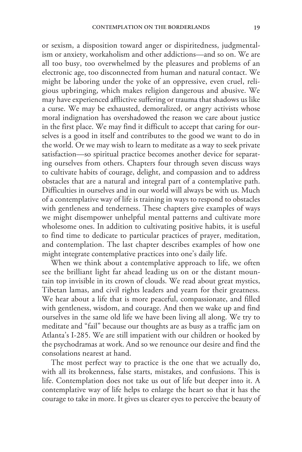or sexism, a disposition toward anger or dispiritedness, judgmentalism or anxiety, workaholism and other addictions—and so on. We are all too busy, too overwhelmed by the pleasures and problems of an electronic age, too disconnected from human and natural contact. We might be laboring under the yoke of an oppressive, even cruel, religious upbringing, which makes religion dangerous and abusive. We may have experienced afflictive suffering or trauma that shadows us like a curse. We may be exhausted, demoralized, or angry activists whose moral indignation has overshadowed the reason we care about justice in the first place. We may find it difficult to accept that caring for ourselves is a good in itself and contributes to the good we want to do in the world. Or we may wish to learn to meditate as a way to seek private satisfaction—so spiritual practice becomes another device for separating ourselves from others. Chapters four through seven discuss ways to cultivate habits of courage, delight, and compassion and to address obstacles that are a natural and integral part of a contemplative path. Difficulties in ourselves and in our world will always be with us. Much of a contemplative way of life is training in ways to respond to obstacles with gentleness and tenderness. These chapters give examples of ways we might disempower unhelpful mental patterns and cultivate more wholesome ones. In addition to cultivating positive habits, it is useful to find time to dedicate to particular practices of prayer, meditation, and contemplation. The last chapter describes examples of how one might integrate contemplative practices into one's daily life.

When we think about a contemplative approach to life, we often see the brilliant light far ahead leading us on or the distant mountain top invisible in its crown of clouds. We read about great mystics, Tibetan lamas, and civil rights leaders and yearn for their greatness. We hear about a life that is more peaceful, compassionate, and filled with gentleness, wisdom, and courage. And then we wake up and find ourselves in the same old life we have been living all along. We try to meditate and "fail" because our thoughts are as busy as a traffic jam on Atlanta's I-285. We are still impatient with our children or hooked by the psychodramas at work. And so we renounce our desire and find the consolations nearest at hand.

The most perfect way to practice is the one that we actually do, with all its brokenness, false starts, mistakes, and confusions. This is life. Contemplation does not take us out of life but deeper into it. A contemplative way of life helps to enlarge the heart so that it has the courage to take in more. It gives us clearer eyes to perceive the beauty of